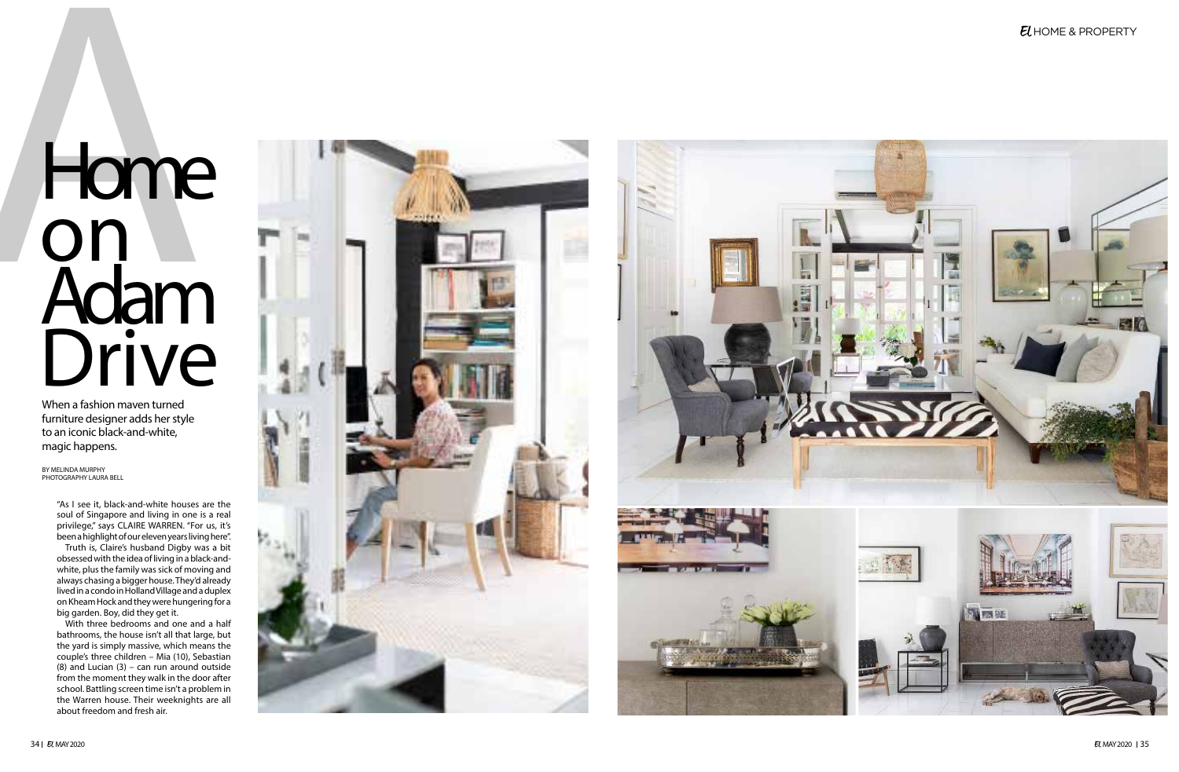

"As I see it, black-and-white houses are the soul of Singapore and living in one is a real privilege," says CLAIRE WARREN. "For us, it's been a highlight of our eleven years living here".

Truth is, Claire's husband Digby was a bit obsessed with the idea of living in a black-andwhite, plus the family was sick of moving and always chasing a bigger house. They'd already lived in a condo in Holland Village and a duplex on Kheam Hock and they were hungering for a big garden. Boy, did they get it.

With three bedrooms and one and a half bathrooms, the house isn't all that large, but the yard is simply massive, which means the couple's three children – Mia (10), Sebastian (8) and Lucian (3) – can run around outside from the moment they walk in the door after school. Battling screen time isn't a problem in the Warren house. Their weeknights are all about freedom and fresh air.



# Home on Adam Drive

When a fashion maven turned furniture designer adds her style to an iconic black-and-white, magic happens.

BY MELINDA MURPHY PHOTOGRAPHY LAURA BELL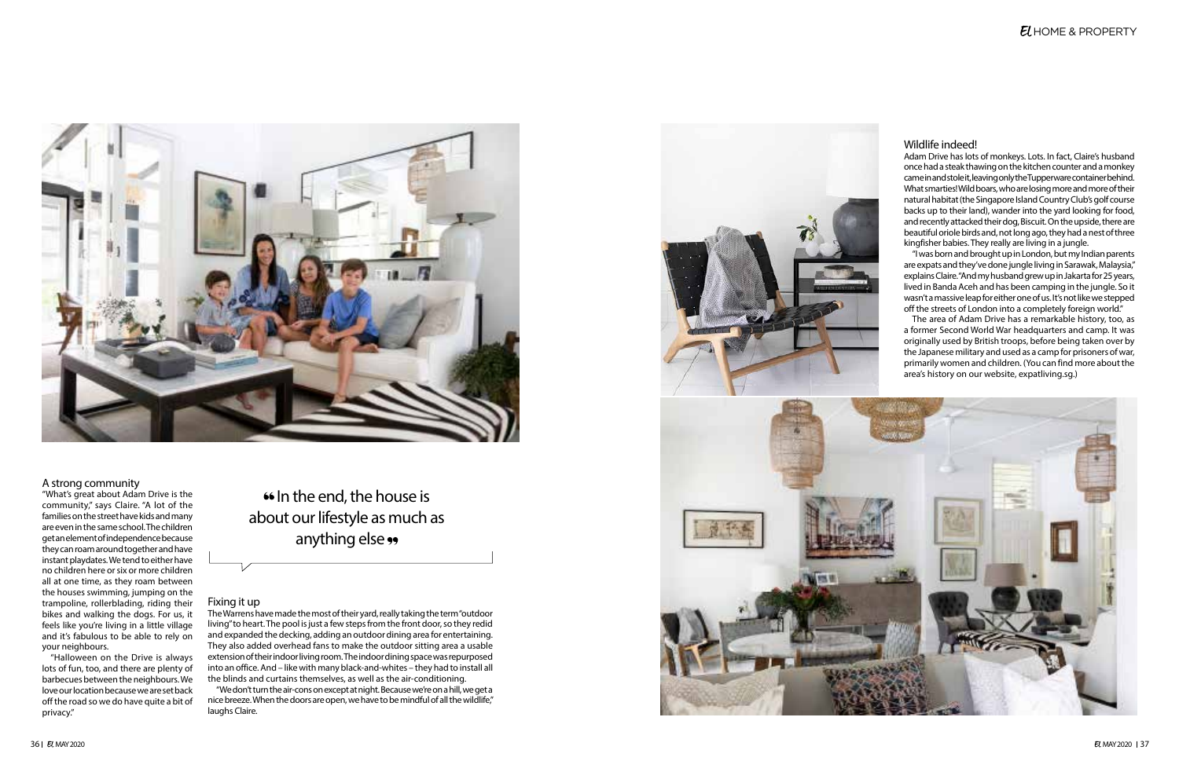

## A strong community

"What's great about Adam Drive is the community," says Claire. "A lot of the families on the street have kids and many are even in the same school. The children get an element of independence because they can roam around together and have instant playdates. We tend to either have no children here or six or more children all at one time, as they roam between the houses swimming, jumping on the trampoline, rollerblading, riding their bikes and walking the dogs. For us, it feels like you're living in a little village and it's fabulous to be able to rely on your neighbours.

"Halloween on the Drive is always lots of fun, too, and there are plenty of barbecues between the neighbours. We love our location because we are set back off the road so we do have quite a bit of privacy."

# Fixing it up

The Warrens have made the most of their yard, really taking the term "outdoor living" to heart. The pool is just a few steps from the front door, so they redid and expanded the decking, adding an outdoor dining area for entertaining. They also added overhead fans to make the outdoor sitting area a usable extension of their indoor living room. The indoor dining space was repurposed into an office. And – like with many black-and-whites – they had to install all the blinds and curtains themselves, as well as the air-conditioning.

In the end, the house is about our lifestyle as much as anything else ••

"We don't turn the air-cons on except at night. Because we're on a hill, we get a nice breeze. When the doors are open, we have to be mindful of all the wildlife," laughs Claire.

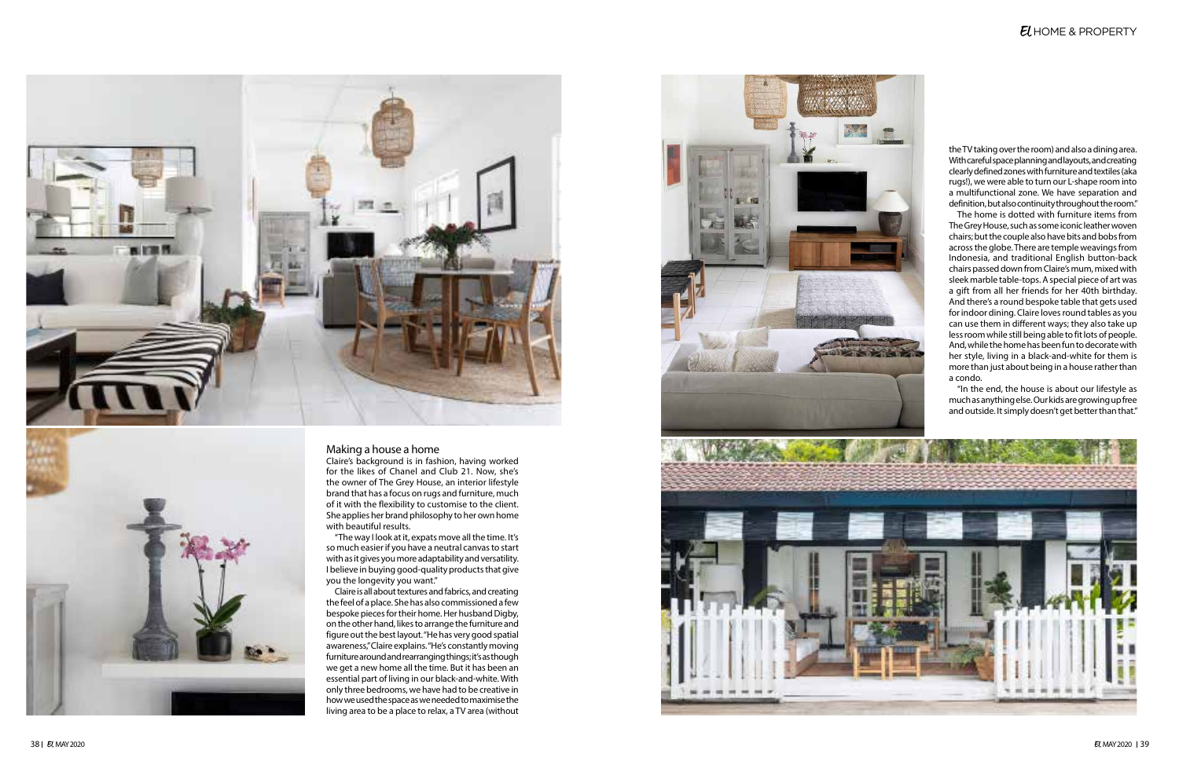



### Making a house a home

Claire's background is in fashion, having worked for the likes of Chanel and Club 21. Now, she's the owner of The Grey House, an interior lifestyle brand that has a focus on rugs and furniture, much of it with the flexibility to customise to the client. She applies her brand philosophy to her own home with beautiful results.

"The way I look at it, expats move all the time. It's so much easier if you have a neutral canvas to start with as it gives you more adaptability and versatility. I believe in buying good-quality products that give you the longevity you want."

Claire is all about textures and fabrics, and creating the feel of a place. She has also commissioned a few bespoke pieces for their home. Her husband Digby, on the other hand, likes to arrange the furniture and figure out the best layout. "He has very good spatial awareness," Claire explains. "He's constantly moving furniture around and rearranging things; it's as though we get a new home all the time. But it has been an essential part of living in our black-and-white. With only three bedrooms, we have had to be creative in how we used the space as we needed to maximise the living area to be a place to relax, a TV area (without



## EL HOME & PROPERTY